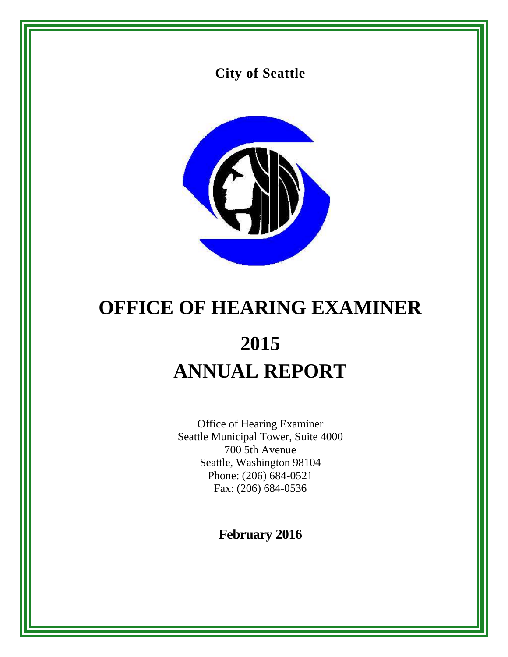



# **OFFICE OF HEARING EXAMINER 2015 ANNUAL REPORT**

Office of Hearing Examiner Seattle Municipal Tower, Suite 4000 700 5th Avenue Seattle, Washington 98104 Phone: (206) 684-0521 Fax: (206) 684-0536

**February 2016**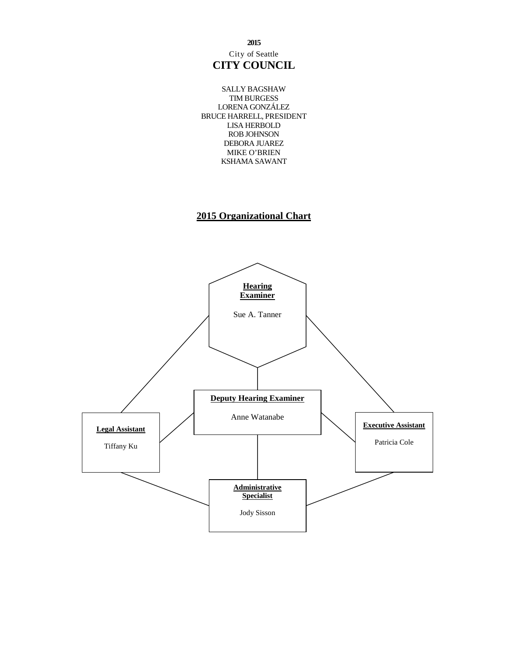City of Seattle **CITY COUNCIL**

SALLY BAGSHAW TIM BURGESS LORENA GONZÁLEZ BRUCE HARRELL, PRESIDENT LISA HERBOLD ROB JOHNSON DEBORA JUAREZ MIKE O'BRIEN KSHAMA SAWANT

# **2015 Organizational Chart**



**2015**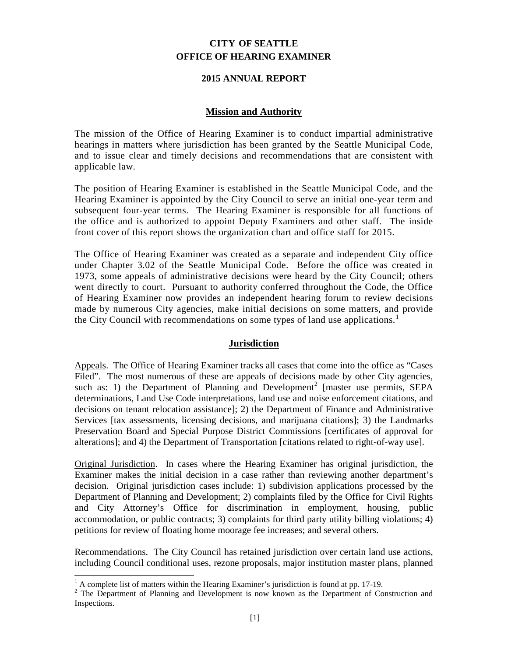# **CITY OF SEATTLE OFFICE OF HEARING EXAMINER**

# **2015 ANNUAL REPORT**

## **Mission and Authority**

The mission of the Office of Hearing Examiner is to conduct impartial administrative hearings in matters where jurisdiction has been granted by the Seattle Municipal Code, and to issue clear and timely decisions and recommendations that are consistent with applicable law.

The position of Hearing Examiner is established in the Seattle Municipal Code, and the Hearing Examiner is appointed by the City Council to serve an initial one-year term and subsequent four-year terms. The Hearing Examiner is responsible for all functions of the office and is authorized to appoint Deputy Examiners and other staff. The inside front cover of this report shows the organization chart and office staff for 2015.

The Office of Hearing Examiner was created as a separate and independent City office under Chapter 3.02 of the Seattle Municipal Code. Before the office was created in 1973, some appeals of administrative decisions were heard by the City Council; others went directly to court. Pursuant to authority conferred throughout the Code, the Office of Hearing Examiner now provides an independent hearing forum to review decisions made by numerous City agencies, make initial decisions on some matters, and provide the City Council with recommendations on some types of land use applications.<sup>[1](#page-2-0)</sup>

# **Jurisdiction**

Appeals. The Office of Hearing Examiner tracks all cases that come into the office as "Cases Filed". The most numerous of these are appeals of decisions made by other City agencies, such as: 1) the Department of Planning and Development<sup>[2](#page-2-1)</sup> [master use permits, SEPA determinations, Land Use Code interpretations, land use and noise enforcement citations, and decisions on tenant relocation assistance]; 2) the Department of Finance and Administrative Services [tax assessments, licensing decisions, and marijuana citations]; 3) the Landmarks Preservation Board and Special Purpose District Commissions [certificates of approval for alterations]; and 4) the Department of Transportation [citations related to right-of-way use].

Original Jurisdiction. In cases where the Hearing Examiner has original jurisdiction, the Examiner makes the initial decision in a case rather than reviewing another department's decision. Original jurisdiction cases include: 1) subdivision applications processed by the Department of Planning and Development; 2) complaints filed by the Office for Civil Rights and City Attorney's Office for discrimination in employment, housing, public accommodation, or public contracts; 3) complaints for third party utility billing violations; 4) petitions for review of floating home moorage fee increases; and several others.

Recommendations. The City Council has retained jurisdiction over certain land use actions, including Council conditional uses, rezone proposals, major institution master plans, planned

<span id="page-2-1"></span><span id="page-2-0"></span><sup>&</sup>lt;sup>1</sup> A complete list of matters within the Hearing Examiner's jurisdiction is found at pp. 17-19.<br><sup>2</sup> The Department of Planning and Development is now known as the Department of Construction and Inspections.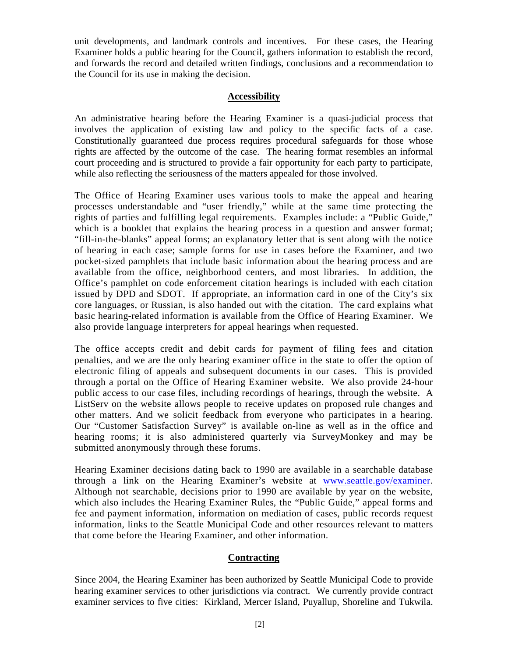unit developments, and landmark controls and incentives. For these cases, the Hearing Examiner holds a public hearing for the Council, gathers information to establish the record, and forwards the record and detailed written findings, conclusions and a recommendation to the Council for its use in making the decision.

# **Accessibility**

An administrative hearing before the Hearing Examiner is a quasi-judicial process that involves the application of existing law and policy to the specific facts of a case. Constitutionally guaranteed due process requires procedural safeguards for those whose rights are affected by the outcome of the case. The hearing format resembles an informal court proceeding and is structured to provide a fair opportunity for each party to participate, while also reflecting the seriousness of the matters appealed for those involved.

The Office of Hearing Examiner uses various tools to make the appeal and hearing processes understandable and "user friendly," while at the same time protecting the rights of parties and fulfilling legal requirements. Examples include: a "Public Guide," which is a booklet that explains the hearing process in a question and answer format; "fill-in-the-blanks" appeal forms; an explanatory letter that is sent along with the notice of hearing in each case; sample forms for use in cases before the Examiner, and two pocket-sized pamphlets that include basic information about the hearing process and are available from the office, neighborhood centers, and most libraries. In addition, the Office's pamphlet on code enforcement citation hearings is included with each citation issued by DPD and SDOT. If appropriate, an information card in one of the City's six core languages, or Russian, is also handed out with the citation. The card explains what basic hearing-related information is available from the Office of Hearing Examiner. We also provide language interpreters for appeal hearings when requested.

The office accepts credit and debit cards for payment of filing fees and citation penalties, and we are the only hearing examiner office in the state to offer the option of electronic filing of appeals and subsequent documents in our cases. This is provided through a portal on the Office of Hearing Examiner website. We also provide 24-hour public access to our case files, including recordings of hearings, through the website. A ListServ on the website allows people to receive updates on proposed rule changes and other matters. And we solicit feedback from everyone who participates in a hearing. Our "Customer Satisfaction Survey" is available on-line as well as in the office and hearing rooms; it is also administered quarterly via SurveyMonkey and may be submitted anonymously through these forums.

Hearing Examiner decisions dating back to 1990 are available in a searchable database through a link on the Hearing Examiner's website at [www.seattle.gov/examiner.](http://www.seattle.gov/examiner) Although not searchable, decisions prior to 1990 are available by year on the website, which also includes the Hearing Examiner Rules, the "Public Guide," appeal forms and fee and payment information, information on mediation of cases, public records request information, links to the Seattle Municipal Code and other resources relevant to matters that come before the Hearing Examiner, and other information.

# **Contracting**

Since 2004, the Hearing Examiner has been authorized by Seattle Municipal Code to provide hearing examiner services to other jurisdictions via contract. We currently provide contract examiner services to five cities: Kirkland, Mercer Island, Puyallup, Shoreline and Tukwila.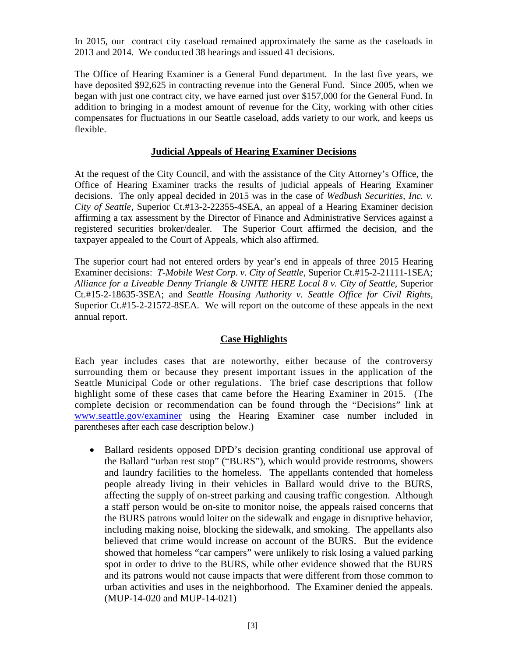In 2015, our contract city caseload remained approximately the same as the caseloads in 2013 and 2014. We conducted 38 hearings and issued 41 decisions.

The Office of Hearing Examiner is a General Fund department. In the last five years, we have deposited \$92,625 in contracting revenue into the General Fund. Since 2005, when we began with just one contract city, we have earned just over \$157,000 for the General Fund. In addition to bringing in a modest amount of revenue for the City, working with other cities compensates for fluctuations in our Seattle caseload, adds variety to our work, and keeps us flexible.

# **Judicial Appeals of Hearing Examiner Decisions**

At the request of the City Council, and with the assistance of the City Attorney's Office, the Office of Hearing Examiner tracks the results of judicial appeals of Hearing Examiner decisions. The only appeal decided in 2015 was in the case of *Wedbush Securities, Inc. v. City of Seattle*, Superior Ct.#13-2-22355-4SEA, an appeal of a Hearing Examiner decision affirming a tax assessment by the Director of Finance and Administrative Services against a registered securities broker/dealer. The Superior Court affirmed the decision, and the taxpayer appealed to the Court of Appeals, which also affirmed.

The superior court had not entered orders by year's end in appeals of three 2015 Hearing Examiner decisions: *T-Mobile West Corp. v. City of Seattle*, Superior Ct.#15-2-21111-1SEA; *Alliance for a Liveable Denny Triangle & UNITE HERE Local 8 v. City of Seattle*, Superior Ct.#15-2-18635-3SEA; and *Seattle Housing Authority v. Seattle Office for Civil Rights*, Superior Ct.#15-2-21572-8SEA. We will report on the outcome of these appeals in the next annual report.

# **Case Highlights**

Each year includes cases that are noteworthy, either because of the controversy surrounding them or because they present important issues in the application of the Seattle Municipal Code or other regulations. The brief case descriptions that follow highlight some of these cases that came before the Hearing Examiner in 2015. (The complete decision or recommendation can be found through the "Decisions" link at [www.seattle.gov/examiner](http://www.seattle.gov/examiner) using the Hearing Examiner case number included in parentheses after each case description below.)

• Ballard residents opposed DPD's decision granting conditional use approval of the Ballard "urban rest stop" ("BURS"), which would provide restrooms, showers and laundry facilities to the homeless. The appellants contended that homeless people already living in their vehicles in Ballard would drive to the BURS, affecting the supply of on-street parking and causing traffic congestion. Although a staff person would be on-site to monitor noise, the appeals raised concerns that the BURS patrons would loiter on the sidewalk and engage in disruptive behavior, including making noise, blocking the sidewalk, and smoking. The appellants also believed that crime would increase on account of the BURS. But the evidence showed that homeless "car campers" were unlikely to risk losing a valued parking spot in order to drive to the BURS, while other evidence showed that the BURS and its patrons would not cause impacts that were different from those common to urban activities and uses in the neighborhood. The Examiner denied the appeals. (MUP-14-020 and MUP-14-021)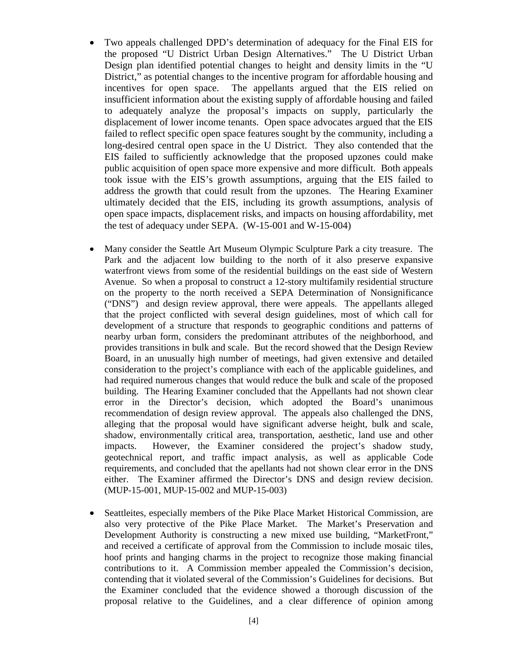- Two appeals challenged DPD's determination of adequacy for the Final EIS for the proposed "U District Urban Design Alternatives." The U District Urban Design plan identified potential changes to height and density limits in the "U District," as potential changes to the incentive program for affordable housing and incentives for open space. The appellants argued that the EIS relied on insufficient information about the existing supply of affordable housing and failed to adequately analyze the proposal's impacts on supply, particularly the displacement of lower income tenants. Open space advocates argued that the EIS failed to reflect specific open space features sought by the community, including a long-desired central open space in the U District. They also contended that the EIS failed to sufficiently acknowledge that the proposed upzones could make public acquisition of open space more expensive and more difficult. Both appeals took issue with the EIS's growth assumptions, arguing that the EIS failed to address the growth that could result from the upzones. The Hearing Examiner ultimately decided that the EIS, including its growth assumptions, analysis of open space impacts, displacement risks, and impacts on housing affordability, met the test of adequacy under SEPA. (W-15-001 and W-15-004)
- Many consider the Seattle Art Museum Olympic Sculpture Park a city treasure. The Park and the adjacent low building to the north of it also preserve expansive waterfront views from some of the residential buildings on the east side of Western Avenue. So when a proposal to construct a 12-story multifamily residential structure on the property to the north received a SEPA Determination of Nonsignificance ("DNS") and design review approval, there were appeals. The appellants alleged that the project conflicted with several design guidelines, most of which call for development of a structure that responds to geographic conditions and patterns of nearby urban form, considers the predominant attributes of the neighborhood, and provides transitions in bulk and scale. But the record showed that the Design Review Board, in an unusually high number of meetings, had given extensive and detailed consideration to the project's compliance with each of the applicable guidelines, and had required numerous changes that would reduce the bulk and scale of the proposed building. The Hearing Examiner concluded that the Appellants had not shown clear error in the Director's decision, which adopted the Board's unanimous recommendation of design review approval. The appeals also challenged the DNS, alleging that the proposal would have significant adverse height, bulk and scale, shadow, environmentally critical area, transportation, aesthetic, land use and other impacts. However, the Examiner considered the project's shadow study, geotechnical report, and traffic impact analysis, as well as applicable Code requirements, and concluded that the apellants had not shown clear error in the DNS either. The Examiner affirmed the Director's DNS and design review decision. (MUP-15-001, MUP-15-002 and MUP-15-003)
- Seattleites, especially members of the Pike Place Market Historical Commission, are also very protective of the Pike Place Market. The Market's Preservation and Development Authority is constructing a new mixed use building, "MarketFront," and received a certificate of approval from the Commission to include mosaic tiles, hoof prints and hanging charms in the project to recognize those making financial contributions to it. A Commission member appealed the Commission's decision, contending that it violated several of the Commission's Guidelines for decisions. But the Examiner concluded that the evidence showed a thorough discussion of the proposal relative to the Guidelines, and a clear difference of opinion among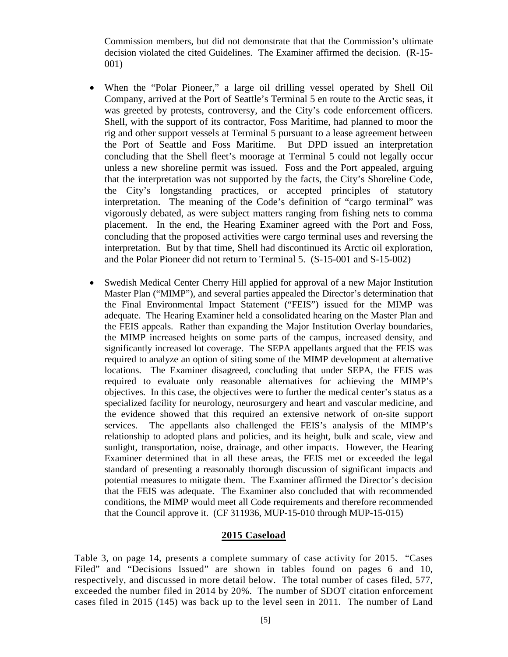Commission members, but did not demonstrate that that the Commission's ultimate decision violated the cited Guidelines. The Examiner affirmed the decision. (R-15- 001)

- When the "Polar Pioneer," a large oil drilling vessel operated by Shell Oil Company, arrived at the Port of Seattle's Terminal 5 en route to the Arctic seas, it was greeted by protests, controversy, and the City's code enforcement officers. Shell, with the support of its contractor, Foss Maritime, had planned to moor the rig and other support vessels at Terminal 5 pursuant to a lease agreement between the Port of Seattle and Foss Maritime. But DPD issued an interpretation concluding that the Shell fleet's moorage at Terminal 5 could not legally occur unless a new shoreline permit was issued. Foss and the Port appealed, arguing that the interpretation was not supported by the facts, the City's Shoreline Code, the City's longstanding practices, or accepted principles of statutory interpretation. The meaning of the Code's definition of "cargo terminal" was vigorously debated, as were subject matters ranging from fishing nets to comma placement. In the end, the Hearing Examiner agreed with the Port and Foss, concluding that the proposed activities were cargo terminal uses and reversing the interpretation. But by that time, Shell had discontinued its Arctic oil exploration, and the Polar Pioneer did not return to Terminal 5. (S-15-001 and S-15-002)
- Swedish Medical Center Cherry Hill applied for approval of a new Major Institution Master Plan ("MIMP"), and several parties appealed the Director's determination that the Final Environmental Impact Statement ("FEIS") issued for the MIMP was adequate. The Hearing Examiner held a consolidated hearing on the Master Plan and the FEIS appeals. Rather than expanding the Major Institution Overlay boundaries, the MIMP increased heights on some parts of the campus, increased density, and significantly increased lot coverage. The SEPA appellants argued that the FEIS was required to analyze an option of siting some of the MIMP development at alternative locations. The Examiner disagreed, concluding that under SEPA, the FEIS was required to evaluate only reasonable alternatives for achieving the MIMP's objectives. In this case, the objectives were to further the medical center's status as a specialized facility for neurology, neurosurgery and heart and vascular medicine, and the evidence showed that this required an extensive network of on-site support services. The appellants also challenged the FEIS's analysis of the MIMP's relationship to adopted plans and policies, and its height, bulk and scale, view and sunlight, transportation, noise, drainage, and other impacts. However, the Hearing Examiner determined that in all these areas, the FEIS met or exceeded the legal standard of presenting a reasonably thorough discussion of significant impacts and potential measures to mitigate them. The Examiner affirmed the Director's decision that the FEIS was adequate. The Examiner also concluded that with recommended conditions, the MIMP would meet all Code requirements and therefore recommended that the Council approve it. (CF 311936, MUP-15-010 through MUP-15-015)

## **2015 Caseload**

Table 3, on page 14, presents a complete summary of case activity for 2015. "Cases Filed" and "Decisions Issued" are shown in tables found on pages 6 and 10, respectively, and discussed in more detail below. The total number of cases filed, 577, exceeded the number filed in 2014 by 20%. The number of SDOT citation enforcement cases filed in 2015 (145) was back up to the level seen in 2011. The number of Land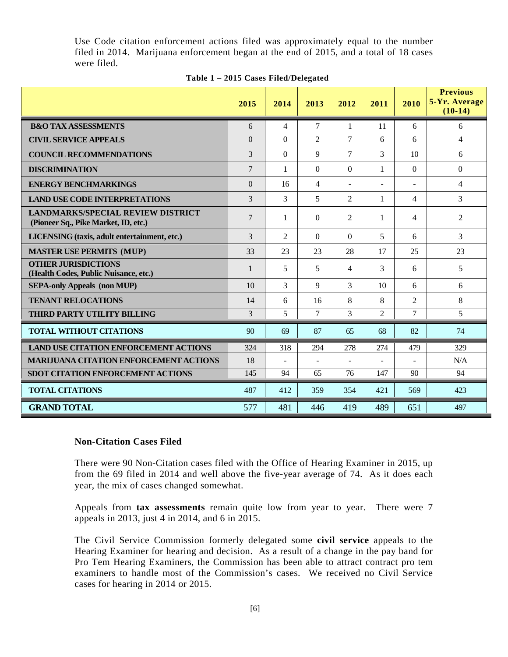Use Code citation enforcement actions filed was approximately equal to the number filed in 2014. Marijuana enforcement began at the end of 2015, and a total of 18 cases were filed.

|                                                                                  | 2015          | 2014           | 2013                     | 2012           | 2011           | 2010           | <b>Previous</b><br>5-Yr. Average<br>$(10-14)$ |
|----------------------------------------------------------------------------------|---------------|----------------|--------------------------|----------------|----------------|----------------|-----------------------------------------------|
| <b>B&amp;O TAX ASSESSMENTS</b>                                                   | 6             | 4              | $\tau$                   | $\mathbf{1}$   | 11             | 6              | 6                                             |
| <b>CIVIL SERVICE APPEALS</b>                                                     | $\theta$      | $\Omega$       | $\overline{2}$           | $\overline{7}$ | 6              | 6              | 4                                             |
| <b>COUNCIL RECOMMENDATIONS</b>                                                   | 3             | $\overline{0}$ | 9                        | $\overline{7}$ | 3              | 10             | 6                                             |
| <b>DISCRIMINATION</b>                                                            | 7             | 1              | $\Omega$                 | $\Omega$       | 1              | $\Omega$       | $\mathbf{0}$                                  |
| <b>ENERGY BENCHMARKINGS</b>                                                      | $\theta$      | 16             | $\overline{4}$           |                |                | $\overline{a}$ | $\overline{4}$                                |
| <b>LAND USE CODE INTERPRETATIONS</b>                                             | 3             | 3              | 5                        | $\overline{2}$ | 1              | $\overline{4}$ | 3                                             |
| <b>LANDMARKS/SPECIAL REVIEW DISTRICT</b><br>(Pioneer Sq., Pike Market, ID, etc.) | 7             | 1              | $\Omega$                 | 2              | $\mathbf{1}$   | $\overline{4}$ | $\overline{2}$                                |
| LICENSING (taxis, adult entertainment, etc.)                                     | 3             | $\mathfrak{D}$ | $\Omega$                 | $\overline{0}$ | 5              | 6              | 3                                             |
| <b>MASTER USE PERMITS (MUP)</b>                                                  | 33            | 23             | 23                       | 28             | 17             | 25             | 23                                            |
| <b>OTHER JURISDICTIONS</b><br>(Health Codes, Public Nuisance, etc.)              | 1             | 5              | 5                        | 4              | 3              | 6              | 5                                             |
| <b>SEPA-only Appeals (non MUP)</b>                                               | 10            | 3              | 9                        | 3              | 10             | 6              | 6                                             |
| <b>TENANT RELOCATIONS</b>                                                        | 14            | 6              | 16                       | 8              | 8              | $\overline{2}$ | 8                                             |
| THIRD PARTY UTILITY BILLING                                                      | $\mathcal{E}$ | 5              | $\overline{7}$           | 3              | $\overline{2}$ | $\tau$         | 5                                             |
| <b>TOTAL WITHOUT CITATIONS</b>                                                   | 90            | 69             | 87                       | 65             | 68             | 82             | 74                                            |
| <b>LAND USE CITATION ENFORCEMENT ACTIONS</b>                                     | 324           | 318            | 294                      | 278            | 274            | 479            | 329                                           |
| <b>MARLIUANA CITATION ENFORCEMENT ACTIONS</b>                                    | 18            | $\blacksquare$ | $\overline{\phantom{a}}$ | $\blacksquare$ |                | ÷              | N/A                                           |
| <b>SDOT CITATION ENFORCEMENT ACTIONS</b>                                         | 145           | 94             | 65                       | 76             | 147            | 90             | 94                                            |
| <b>TOTAL CITATIONS</b>                                                           | 487           | 412            | 359                      | 354            | 421            | 569            | 423                                           |
| <b>GRAND TOTAL</b>                                                               | 577           | 481            | 446                      | 419            | 489            | 651            | 497                                           |

# **Table 1 – 2015 Cases Filed/Delegated**

# **Non-Citation Cases Filed**

There were 90 Non-Citation cases filed with the Office of Hearing Examiner in 2015, up from the 69 filed in 2014 and well above the five-year average of 74. As it does each year, the mix of cases changed somewhat.

Appeals from **tax assessments** remain quite low from year to year. There were 7 appeals in 2013, just 4 in 2014, and 6 in 2015.

The Civil Service Commission formerly delegated some **civil service** appeals to the Hearing Examiner for hearing and decision. As a result of a change in the pay band for Pro Tem Hearing Examiners, the Commission has been able to attract contract pro tem examiners to handle most of the Commission's cases. We received no Civil Service cases for hearing in 2014 or 2015.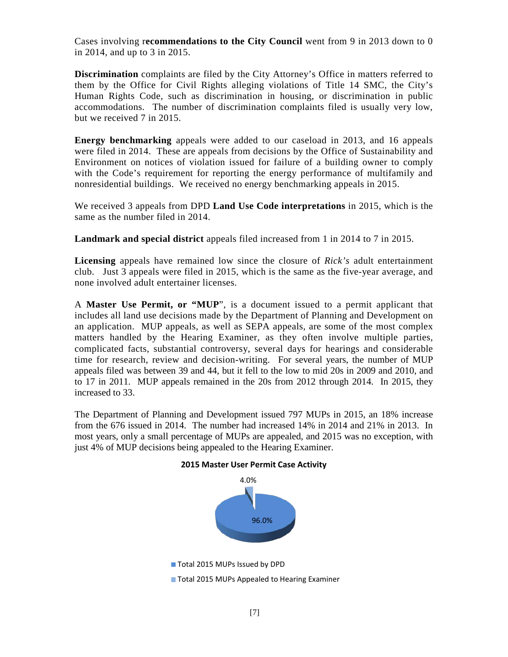Cases involving r**ecommendations to the City Council** went from 9 in 2013 down to 0 in 2014, and up to 3 in 2015.

**Discrimination** complaints are filed by the City Attorney's Office in matters referred to them by the Office for Civil Rights alleging violations of Title 14 SMC, the City's Human Rights Code, such as discrimination in housing, or discrimination in public accommodations. The number of discrimination complaints filed is usually very low, but we received 7 in 2015.

**Energy benchmarking** appeals were added to our caseload in 2013, and 16 appeals were filed in 2014. These are appeals from decisions by the Office of Sustainability and Environment on notices of violation issued for failure of a building owner to comply with the Code's requirement for reporting the energy performance of multifamily and nonresidential buildings. We received no energy benchmarking appeals in 2015.

We received 3 appeals from DPD **Land Use Code interpretations** in 2015, which is the same as the number filed in 2014.

**Landmark and special district** appeals filed increased from 1 in 2014 to 7 in 2015.

**Licensing** appeals have remained low since the closure of *Rick's* adult entertainment club. Just 3 appeals were filed in 2015, which is the same as the five-year average, and none involved adult entertainer licenses.

A **Master Use Permit, or "MUP**", is a document issued to a permit applicant that includes all land use decisions made by the Department of Planning and Development on an application. MUP appeals, as well as SEPA appeals, are some of the most complex matters handled by the Hearing Examiner, as they often involve multiple parties, complicated facts, substantial controversy, several days for hearings and considerable time for research, review and decision-writing. For several years, the number of MUP appeals filed was between 39 and 44, but it fell to the low to mid 20s in 2009 and 2010, and to 17 in 2011. MUP appeals remained in the 20s from 2012 through 2014. In 2015, they increased to 33.

The Department of Planning and Development issued 797 MUPs in 2015, an 18% increase from the 676 issued in 2014. The number had increased 14% in 2014 and 21% in 2013. In most years, only a small percentage of MUPs are appealed, and 2015 was no exception, with just 4% of MUP decisions being appealed to the Hearing Examiner.



**2015 Master User Permit Case Activity**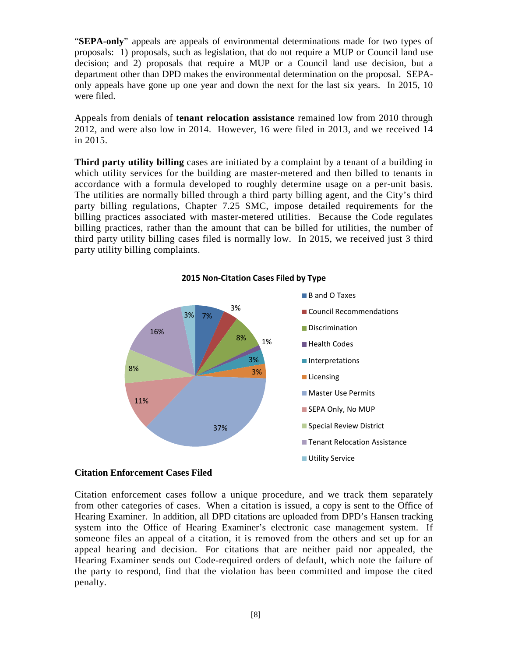"**SEPA-only**" appeals are appeals of environmental determinations made for two types of proposals: 1) proposals, such as legislation, that do not require a MUP or Council land use decision; and 2) proposals that require a MUP or a Council land use decision, but a department other than DPD makes the environmental determination on the proposal. SEPAonly appeals have gone up one year and down the next for the last six years. In 2015, 10 were filed.

Appeals from denials of **tenant relocation assistance** remained low from 2010 through 2012, and were also low in 2014. However, 16 were filed in 2013, and we received 14 in 2015.

**Third party utility billing** cases are initiated by a complaint by a tenant of a building in which utility services for the building are master-metered and then billed to tenants in accordance with a formula developed to roughly determine usage on a per-unit basis. The utilities are normally billed through a third party billing agent, and the City's third party billing regulations, Chapter 7.25 SMC, impose detailed requirements for the billing practices associated with master-metered utilities. Because the Code regulates billing practices, rather than the amount that can be billed for utilities, the number of third party utility billing cases filed is normally low. In 2015, we received just 3 third party utility billing complaints.



**2015 Non-Citation Cases Filed by Type**

#### **Citation Enforcement Cases Filed**

Citation enforcement cases follow a unique procedure, and we track them separately from other categories of cases. When a citation is issued, a copy is sent to the Office of Hearing Examiner. In addition, all DPD citations are uploaded from DPD's Hansen tracking system into the Office of Hearing Examiner's electronic case management system. If someone files an appeal of a citation, it is removed from the others and set up for an appeal hearing and decision. For citations that are neither paid nor appealed, the Hearing Examiner sends out Code-required orders of default, which note the failure of the party to respond, find that the violation has been committed and impose the cited penalty.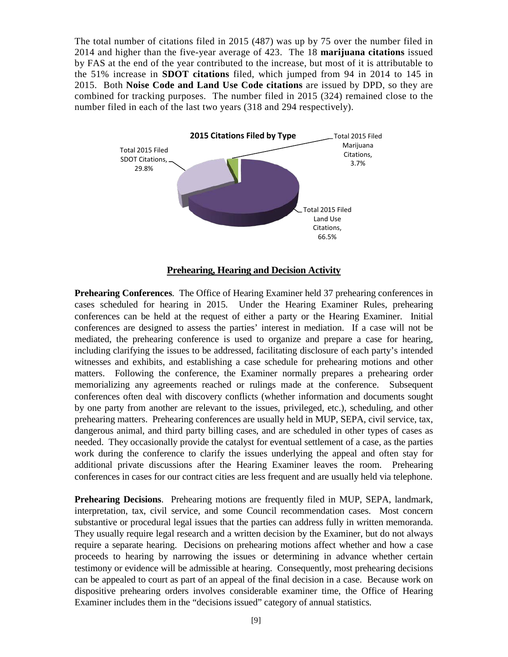The total number of citations filed in 2015 (487) was up by 75 over the number filed in 2014 and higher than the five-year average of 423. The 18 **marijuana citations** issued by FAS at the end of the year contributed to the increase, but most of it is attributable to the 51% increase in **SDOT citations** filed, which jumped from 94 in 2014 to 145 in 2015. Both **Noise Code and Land Use Code citations** are issued by DPD, so they are combined for tracking purposes. The number filed in 2015 (324) remained close to the number filed in each of the last two years (318 and 294 respectively).



# **Prehearing, Hearing and Decision Activity**

**Prehearing Conferences**. The Office of Hearing Examiner held 37 prehearing conferences in cases scheduled for hearing in 2015. Under the Hearing Examiner Rules, prehearing conferences can be held at the request of either a party or the Hearing Examiner. Initial conferences are designed to assess the parties' interest in mediation. If a case will not be mediated, the prehearing conference is used to organize and prepare a case for hearing, including clarifying the issues to be addressed, facilitating disclosure of each party's intended witnesses and exhibits, and establishing a case schedule for prehearing motions and other matters. Following the conference, the Examiner normally prepares a prehearing order memorializing any agreements reached or rulings made at the conference. Subsequent conferences often deal with discovery conflicts (whether information and documents sought by one party from another are relevant to the issues, privileged, etc.), scheduling, and other prehearing matters. Prehearing conferences are usually held in MUP, SEPA, civil service, tax, dangerous animal, and third party billing cases, and are scheduled in other types of cases as needed. They occasionally provide the catalyst for eventual settlement of a case, as the parties work during the conference to clarify the issues underlying the appeal and often stay for additional private discussions after the Hearing Examiner leaves the room. Prehearing conferences in cases for our contract cities are less frequent and are usually held via telephone.

**Prehearing Decisions**. Prehearing motions are frequently filed in MUP, SEPA, landmark, interpretation, tax, civil service, and some Council recommendation cases. Most concern substantive or procedural legal issues that the parties can address fully in written memoranda. They usually require legal research and a written decision by the Examiner, but do not always require a separate hearing. Decisions on prehearing motions affect whether and how a case proceeds to hearing by narrowing the issues or determining in advance whether certain testimony or evidence will be admissible at hearing. Consequently, most prehearing decisions can be appealed to court as part of an appeal of the final decision in a case. Because work on dispositive prehearing orders involves considerable examiner time, the Office of Hearing Examiner includes them in the "decisions issued" category of annual statistics.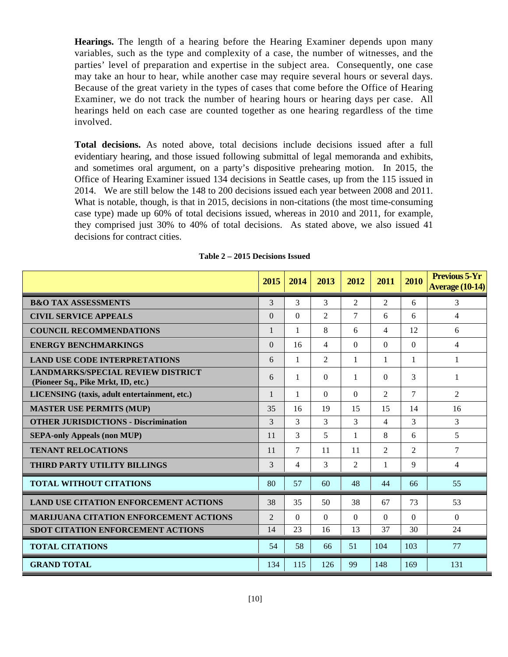**Hearings.** The length of a hearing before the Hearing Examiner depends upon many variables, such as the type and complexity of a case, the number of witnesses, and the parties' level of preparation and expertise in the subject area. Consequently, one case may take an hour to hear, while another case may require several hours or several days. Because of the great variety in the types of cases that come before the Office of Hearing Examiner, we do not track the number of hearing hours or hearing days per case. All hearings held on each case are counted together as one hearing regardless of the time involved.

**Total decisions.** As noted above, total decisions include decisions issued after a full evidentiary hearing, and those issued following submittal of legal memoranda and exhibits, and sometimes oral argument, on a party's dispositive prehearing motion. In 2015, the Office of Hearing Examiner issued 134 decisions in Seattle cases, up from the 115 issued in 2014. We are still below the 148 to 200 decisions issued each year between 2008 and 2011. What is notable, though, is that in 2015, decisions in non-citations (the most time-consuming case type) made up 60% of total decisions issued, whereas in 2010 and 2011, for example, they comprised just 30% to 40% of total decisions. As stated above, we also issued 41 decisions for contract cities.

|                                                                                | 2015           | 2014         | 2013           | 2012           | 2011           | 2010         | <b>Previous 5-Yr</b><br><b>Average (10-14)</b> |
|--------------------------------------------------------------------------------|----------------|--------------|----------------|----------------|----------------|--------------|------------------------------------------------|
| <b>B&amp;O TAX ASSESSMENTS</b>                                                 | 3              | 3            | 3              | $\overline{2}$ | 2              | 6            | 3                                              |
| <b>CIVIL SERVICE APPEALS</b>                                                   | $\Omega$       | $\Omega$     | $\mathfrak{D}$ | 7              | 6              | 6            | $\overline{4}$                                 |
| <b>COUNCIL RECOMMENDATIONS</b>                                                 |                | 1            | 8              | 6              | $\overline{4}$ | 12           | 6                                              |
| <b>ENERGY BENCHMARKINGS</b>                                                    | $\Omega$       | 16           | $\overline{4}$ | $\Omega$       | $\Omega$       | $\Omega$     | $\overline{4}$                                 |
| <b>LAND USE CODE INTERPRETATIONS</b>                                           | 6              | $\mathbf{1}$ | $\overline{c}$ | $\mathbf{1}$   | $\mathbf{1}$   | $\mathbf{1}$ | $\mathbf{1}$                                   |
| <b>LANDMARKS/SPECIAL REVIEW DISTRICT</b><br>(Pioneer Sq., Pike Mrkt, ID, etc.) | 6              | 1            | $\Omega$       | 1              | $\Omega$       | 3            | 1                                              |
| LICENSING (taxis, adult entertainment, etc.)                                   | 1              | 1            | $\Omega$       | $\Omega$       | 2              | $\tau$       | 2                                              |
| <b>MASTER USE PERMITS (MUP)</b>                                                | 35             | 16           | 19             | 15             | 15             | 14           | 16                                             |
| <b>OTHER JURISDICTIONS - Discrimination</b>                                    | $\mathcal{R}$  | 3            | 3              | 3              | 4              | 3            | 3                                              |
| <b>SEPA-only Appeals (non MUP)</b>                                             | 11             | 3            | 5              | $\mathbf{1}$   | 8              | 6            | 5                                              |
| <b>TENANT RELOCATIONS</b>                                                      | 11             | 7            | 11             | 11             | 2              | 2            | $\tau$                                         |
| THIRD PARTY UTILITY BILLINGS                                                   | 3              | 4            | 3              | $\overline{2}$ | $\mathbf{1}$   | 9            | $\overline{4}$                                 |
| <b>TOTAL WITHOUT CITATIONS</b>                                                 | 80             | 57           | 60             | 48             | 44             | 66           | 55                                             |
| <b>LAND USE CITATION ENFORCEMENT ACTIONS</b>                                   | 38             | 35           | 50             | 38             | 67             | 73           | 53                                             |
| <b>MARIJUANA CITATION ENFORCEMENT ACTIONS</b>                                  | $\overline{2}$ | $\Omega$     | $\Omega$       | $\Omega$       | $\Omega$       | $\Omega$     | $\Omega$                                       |
| <b>SDOT CITATION ENFORCEMENT ACTIONS</b>                                       | 14             | 23           | 16             | 13             | 37             | 30           | 24                                             |
| <b>TOTAL CITATIONS</b>                                                         | 54             | 58           | 66             | 51             | 104            | 103          | 77                                             |
| <b>GRAND TOTAL</b>                                                             | 134            | 115          | 126            | 99             | 148            | 169          | 131                                            |

#### **Table 2 – 2015 Decisions Issued**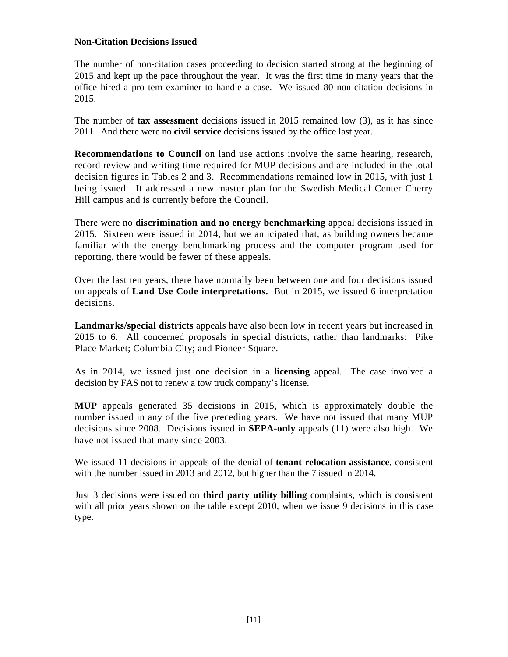# **Non-Citation Decisions Issued**

The number of non-citation cases proceeding to decision started strong at the beginning of 2015 and kept up the pace throughout the year. It was the first time in many years that the office hired a pro tem examiner to handle a case. We issued 80 non-citation decisions in 2015.

The number of **tax assessment** decisions issued in 2015 remained low (3), as it has since 2011. And there were no **civil service** decisions issued by the office last year.

**Recommendations to Council** on land use actions involve the same hearing, research, record review and writing time required for MUP decisions and are included in the total decision figures in Tables 2 and 3. Recommendations remained low in 2015, with just 1 being issued. It addressed a new master plan for the Swedish Medical Center Cherry Hill campus and is currently before the Council.

There were no **discrimination and no energy benchmarking** appeal decisions issued in 2015. Sixteen were issued in 2014, but we anticipated that, as building owners became familiar with the energy benchmarking process and the computer program used for reporting, there would be fewer of these appeals.

Over the last ten years, there have normally been between one and four decisions issued on appeals of **Land Use Code interpretations.** But in 2015, we issued 6 interpretation decisions.

**Landmarks/special districts** appeals have also been low in recent years but increased in 2015 to 6. All concerned proposals in special districts, rather than landmarks: Pike Place Market; Columbia City; and Pioneer Square.

As in 2014, we issued just one decision in a **licensing** appeal. The case involved a decision by FAS not to renew a tow truck company's license.

**MUP** appeals generated 35 decisions in 2015, which is approximately double the number issued in any of the five preceding years. We have not issued that many MUP decisions since 2008. Decisions issued in **SEPA-only** appeals (11) were also high. We have not issued that many since 2003.

We issued 11 decisions in appeals of the denial of **tenant relocation assistance**, consistent with the number issued in 2013 and 2012, but higher than the 7 issued in 2014.

Just 3 decisions were issued on **third party utility billing** complaints, which is consistent with all prior years shown on the table except 2010, when we issue 9 decisions in this case type.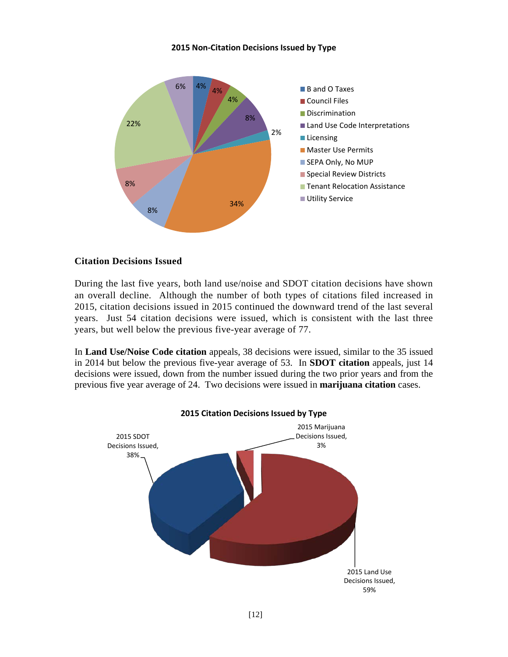## **2015 Non-Citation Decisions Issued by Type**



## **Citation Decisions Issued**

During the last five years, both land use/noise and SDOT citation decisions have shown an overall decline. Although the number of both types of citations filed increased in 2015, citation decisions issued in 2015 continued the downward trend of the last several years. Just 54 citation decisions were issued, which is consistent with the last three years, but well below the previous five-year average of 77.

In **Land Use/Noise Code citation** appeals, 38 decisions were issued, similar to the 35 issued in 2014 but below the previous five-year average of 53. In **SDOT citation** appeals, just 14 decisions were issued, down from the number issued during the two prior years and from the previous five year average of 24. Two decisions were issued in **marijuana citation** cases.

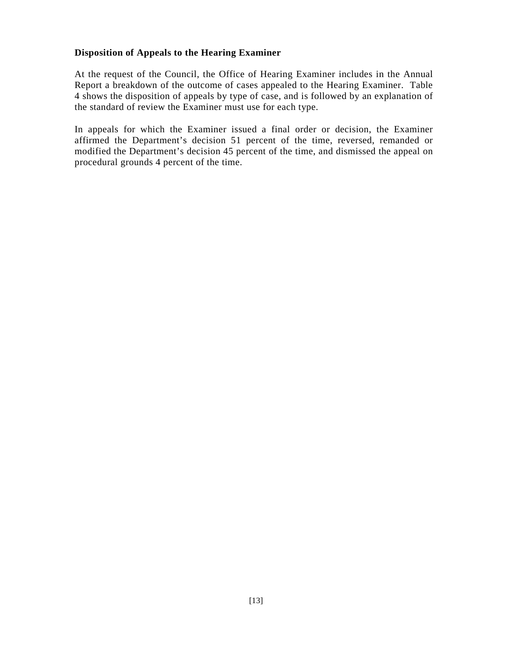# **Disposition of Appeals to the Hearing Examiner**

At the request of the Council, the Office of Hearing Examiner includes in the Annual Report a breakdown of the outcome of cases appealed to the Hearing Examiner. Table 4 shows the disposition of appeals by type of case, and is followed by an explanation of the standard of review the Examiner must use for each type.

In appeals for which the Examiner issued a final order or decision, the Examiner affirmed the Department's decision 51 percent of the time, reversed, remanded or modified the Department's decision 45 percent of the time, and dismissed the appeal on procedural grounds 4 percent of the time.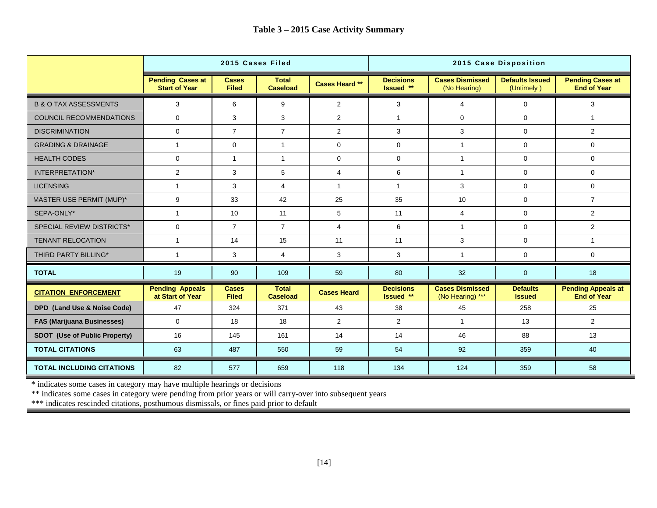|                                   | 2015 Cases Filed                                |                              |                                 | 2015 Case Disposition |                               |                                            |                                      |                                                 |
|-----------------------------------|-------------------------------------------------|------------------------------|---------------------------------|-----------------------|-------------------------------|--------------------------------------------|--------------------------------------|-------------------------------------------------|
|                                   | <b>Pending Cases at</b><br><b>Start of Year</b> | <b>Cases</b><br><b>Filed</b> | <b>Total</b><br><b>Caseload</b> | <b>Cases Heard **</b> | <b>Decisions</b><br>Issued ** | <b>Cases Dismissed</b><br>(No Hearing)     | <b>Defaults Issued</b><br>(Untimely) | <b>Pending Cases at</b><br><b>End of Year</b>   |
| <b>B &amp; O TAX ASSESSMENTS</b>  | 3                                               | 6                            | 9                               | $\overline{2}$        | 3                             | 4                                          | $\mathbf 0$                          | 3                                               |
| <b>COUNCIL RECOMMENDATIONS</b>    | $\Omega$                                        | 3                            | 3                               | $\overline{2}$        | $\mathbf{1}$                  | $\Omega$                                   | $\Omega$                             | $\mathbf{1}$                                    |
| <b>DISCRIMINATION</b>             | $\mathbf 0$                                     | $\overline{7}$               | $\overline{7}$                  | 2                     | 3                             | 3                                          | $\mathbf 0$                          | 2                                               |
| <b>GRADING &amp; DRAINAGE</b>     | $\mathbf{1}$                                    | $\mathbf 0$                  | $\mathbf{1}$                    | $\mathbf 0$           | $\Omega$                      | $\mathbf{1}$                               | $\Omega$                             | $\Omega$                                        |
| <b>HEALTH CODES</b>               | $\mathbf 0$                                     | $\overline{1}$               | $\mathbf{1}$                    | $\mathbf 0$           | $\mathbf 0$                   | $\mathbf{1}$                               | $\mathbf 0$                          | $\mathbf 0$                                     |
| <b>INTERPRETATION*</b>            | 2                                               | 3                            | 5                               | $\overline{4}$        | 6                             | $\overline{1}$                             | $\mathbf 0$                          | $\mathbf 0$                                     |
| <b>LICENSING</b>                  | $\mathbf{1}$                                    | 3                            | $\overline{4}$                  | $\mathbf{1}$          | $\mathbf{1}$                  | 3                                          | $\mathbf 0$                          | $\mathbf 0$                                     |
| MASTER USE PERMIT (MUP)*          | 9                                               | 33                           | 42                              | 25                    | 35                            | 10                                         | $\mathbf 0$                          | $\overline{7}$                                  |
| SEPA-ONLY*                        | $\mathbf{1}$                                    | 10                           | 11                              | 5                     | 11                            | $\overline{4}$                             | $\mathbf 0$                          | 2                                               |
| <b>SPECIAL REVIEW DISTRICTS*</b>  | $\mathbf 0$                                     | $\overline{7}$               | $\overline{7}$                  | $\overline{4}$        | 6                             | $\mathbf{1}$                               | $\mathbf 0$                          | 2                                               |
| <b>TENANT RELOCATION</b>          | $\mathbf{1}$                                    | 14                           | 15                              | 11                    | 11                            | 3                                          | $\mathbf 0$                          | $\mathbf{1}$                                    |
| THIRD PARTY BILLING*              | $\mathbf{1}$                                    | 3                            | $\overline{4}$                  | 3                     | 3                             | $\mathbf{1}$                               | 0                                    | 0                                               |
| <b>TOTAL</b>                      | 19                                              | 90                           | 109                             | 59                    | 80                            | 32                                         | $\mathbf{0}$                         | 18                                              |
| <b>CITATION ENFORCEMENT</b>       | <b>Pending Appeals</b><br>at Start of Year      | <b>Cases</b><br><b>Filed</b> | <b>Total</b><br><b>Caseload</b> | <b>Cases Heard</b>    | <b>Decisions</b><br>Issued ** | <b>Cases Dismissed</b><br>(No Hearing) *** | <b>Defaults</b><br><b>Issued</b>     | <b>Pending Appeals at</b><br><b>End of Year</b> |
| DPD (Land Use & Noise Code)       | 47                                              | 324                          | 371                             | 43                    | 38                            | 45                                         | 258                                  | 25                                              |
| <b>FAS (Marijuana Businesses)</b> | $\mathbf 0$                                     | 18                           | 18                              | 2                     | $\overline{2}$                | $\mathbf{1}$                               | 13                                   | $\overline{2}$                                  |
| SDOT (Use of Public Property)     | 16                                              | 145                          | 161                             | 14                    | 14                            | 46                                         | 88                                   | 13                                              |
| <b>TOTAL CITATIONS</b>            | 63                                              | 487                          | 550                             | 59                    | 54                            | 92                                         | 359                                  | 40                                              |
| <b>TOTAL INCLUDING CITATIONS</b>  | 82                                              | 577                          | 659                             | 118                   | 134                           | 124                                        | 359                                  | 58                                              |

\* indicates some cases in category may have multiple hearings or decisions

\*\* indicates some cases in category were pending from prior years or will carry-over into subsequent years

\*\*\* indicates rescinded citations, posthumous dismissals, or fines paid prior to default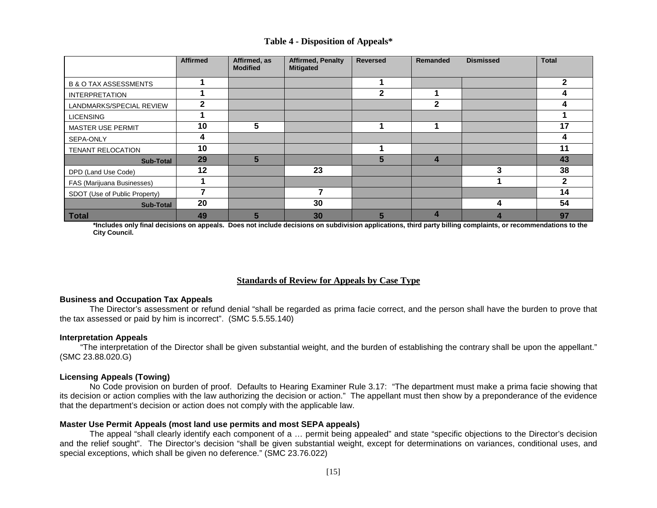|  | Table 4 - Disposition of Appeals* |  |
|--|-----------------------------------|--|
|--|-----------------------------------|--|

|                                  | <b>Affirmed</b> | Affirmed, as<br><b>Modified</b> | <b>Affirmed, Penalty</b><br><b>Mitigated</b> | <b>Reversed</b> | <b>Remanded</b> | <b>Dismissed</b> | <b>Total</b> |
|----------------------------------|-----------------|---------------------------------|----------------------------------------------|-----------------|-----------------|------------------|--------------|
| <b>B &amp; O TAX ASSESSMENTS</b> |                 |                                 |                                              |                 |                 |                  |              |
| <b>INTERPRETATION</b>            |                 |                                 |                                              | $\mathbf{2}$    |                 |                  |              |
| LANDMARKS/SPECIAL REVIEW         | $\mathbf{2}$    |                                 |                                              |                 | $\mathbf{2}$    |                  |              |
| <b>LICENSING</b>                 |                 |                                 |                                              |                 |                 |                  |              |
| MASTER USE PERMIT                | 10              | 5                               |                                              |                 |                 |                  | 17           |
| SEPA-ONLY                        | 4               |                                 |                                              |                 |                 |                  |              |
| <b>TENANT RELOCATION</b>         | 10              |                                 |                                              |                 |                 |                  | 11           |
| <b>Sub-Total</b>                 | 29              | 5                               |                                              | 5               | 4               |                  | 43           |
| DPD (Land Use Code)              | 12              |                                 | 23                                           |                 |                 | 3                | 38           |
| FAS (Marijuana Businesses)       |                 |                                 |                                              |                 |                 |                  |              |
| SDOT (Use of Public Property)    |                 |                                 |                                              |                 |                 |                  | 14           |
| <b>Sub-Total</b>                 | 20              |                                 | 30                                           |                 |                 | Δ                | 54           |
| <b>Total</b>                     | 49              |                                 | 30                                           |                 |                 |                  | 97           |

**\*Includes only final decisions on appeals. Does not include decisions on subdivision applications, third party billing complaints, or recommendations to the City Council.**

## **Standards of Review for Appeals by Case Type**

#### **Business and Occupation Tax Appeals**

The Director's assessment or refund denial "shall be regarded as prima facie correct, and the person shall have the burden to prove that the tax assessed or paid by him is incorrect". (SMC 5.5.55.140)

#### **Interpretation Appeals**

 "The interpretation of the Director shall be given substantial weight, and the burden of establishing the contrary shall be upon the appellant." (SMC 23.88.020.G)

#### **Licensing Appeals (Towing)**

No Code provision on burden of proof. Defaults to Hearing Examiner Rule 3.17: "The department must make a prima facie showing that its decision or action complies with the law authorizing the decision or action." The appellant must then show by a preponderance of the evidence that the department's decision or action does not comply with the applicable law.

#### **Master Use Permit Appeals (most land use permits and most SEPA appeals)**

The appeal "shall clearly identify each component of a … permit being appealed" and state "specific objections to the Director's decision and the relief sought". The Director's decision "shall be given substantial weight, except for determinations on variances, conditional uses, and special exceptions, which shall be given no deference." (SMC 23.76.022)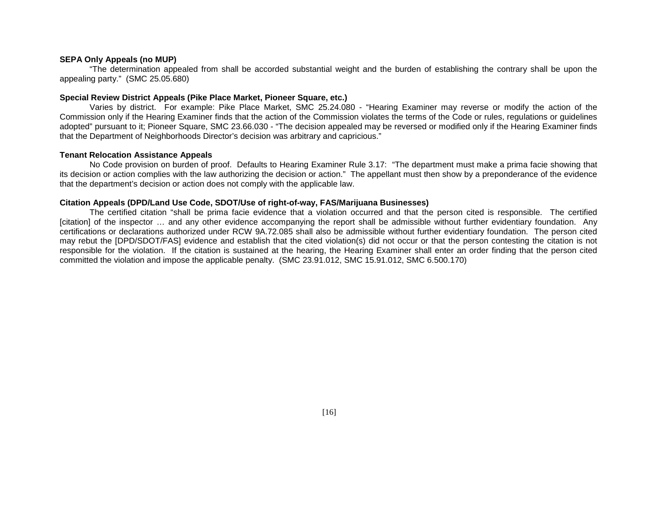#### **SEPA Only Appeals (no MUP)**

"The determination appealed from shall be accorded substantial weight and the burden of establishing the contrary shall be upon the appealing party." (SMC 25.05.680)

#### **Special Review District Appeals (Pike Place Market, Pioneer Square, etc.)**

Varies by district. For example: Pike Place Market, SMC 25.24.080 - "Hearing Examiner may reverse or modify the action of the Commission only if the Hearing Examiner finds that the action of the Commission violates the terms of the Code or rules, regulations or guidelines adopted" pursuant to it; Pioneer Square, SMC 23.66.030 - "The decision appealed may be reversed or modified only if the Hearing Examiner finds that the Department of Neighborhoods Director's decision was arbitrary and capricious."

#### **Tenant Relocation Assistance Appeals**

No Code provision on burden of proof. Defaults to Hearing Examiner Rule 3.17: "The department must make a prima facie showing that its decision or action complies with the law authorizing the decision or action." The appellant must then show by a preponderance of the evidence that the department's decision or action does not comply with the applicable law.

#### **Citation Appeals (DPD/Land Use Code, SDOT/Use of right-of-way, FAS/Marijuana Businesses)**

The certified citation "shall be prima facie evidence that a violation occurred and that the person cited is responsible. The certified [citation] of the inspector … and any other evidence accompanying the report shall be admissible without further evidentiary foundation. Any certifications or declarations authorized under RCW 9A.72.085 shall also be admissible without further evidentiary foundation. The person cited may rebut the [DPD/SDOT/FAS] evidence and establish that the cited violation(s) did not occur or that the person contesting the citation is not responsible for the violation. If the citation is sustained at the hearing, the Hearing Examiner shall enter an order finding that the person cited committed the violation and impose the applicable penalty. (SMC 23.91.012, SMC 15.91.012, SMC 6.500.170)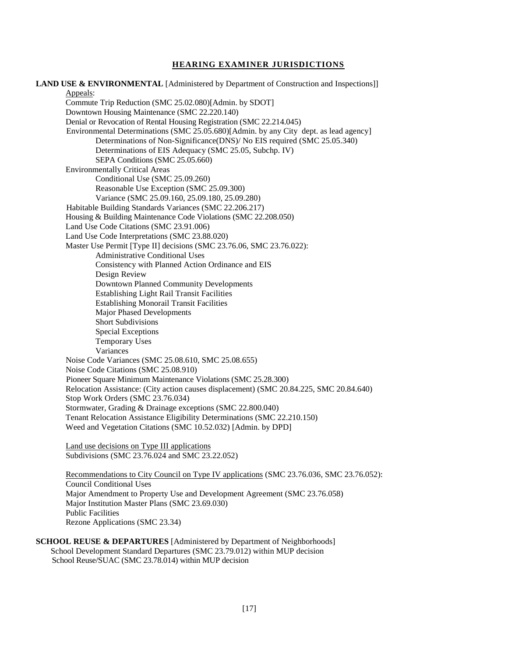#### **HEARING EXAMINER JURISDICTIONS**

**LAND USE & ENVIRONMENTAL** [Administered by Department of Construction and Inspections]] Appeals: Commute Trip Reduction (SMC 25.02.080)[Admin. by SDOT] Downtown Housing Maintenance (SMC 22.220.140) Denial or Revocation of Rental Housing Registration (SMC 22.214.045) Environmental Determinations (SMC 25.05.680)[Admin. by any City dept. as lead agency] Determinations of Non-Significance(DNS)/ No EIS required (SMC 25.05.340) Determinations of EIS Adequacy (SMC 25.05, Subchp. IV) SEPA Conditions (SMC 25.05.660) Environmentally Critical Areas Conditional Use (SMC 25.09.260) Reasonable Use Exception (SMC 25.09.300) Variance (SMC 25.09.160, 25.09.180, 25.09.280) Habitable Building Standards Variances (SMC 22.206.217) Housing & Building Maintenance Code Violations (SMC 22.208.050) Land Use Code Citations (SMC 23.91.006) Land Use Code Interpretations (SMC 23.88.020) Master Use Permit [Type II] decisions (SMC 23.76.06, SMC 23.76.022): Administrative Conditional Uses Consistency with Planned Action Ordinance and EIS Design Review Downtown Planned Community Developments Establishing Light Rail Transit Facilities Establishing Monorail Transit Facilities Major Phased Developments Short Subdivisions Special Exceptions Temporary Uses Variances Noise Code Variances (SMC 25.08.610, SMC 25.08.655) Noise Code Citations (SMC 25.08.910) Pioneer Square Minimum Maintenance Violations (SMC 25.28.300) Relocation Assistance: (City action causes displacement) (SMC 20.84.225, SMC 20.84.640) Stop Work Orders (SMC 23.76.034) Stormwater, Grading & Drainage exceptions (SMC 22.800.040) Tenant Relocation Assistance Eligibility Determinations (SMC 22.210.150) Weed and Vegetation Citations (SMC 10.52.032) [Admin. by DPD] Land use decisions on Type III applications Subdivisions (SMC 23.76.024 and SMC 23.22.052) Recommendations to City Council on Type IV applications (SMC 23.76.036, SMC 23.76.052): Council Conditional Uses

Major Amendment to Property Use and Development Agreement (SMC 23.76.058) Major Institution Master Plans (SMC 23.69.030) Public Facilities Rezone Applications (SMC 23.34)

**SCHOOL REUSE & DEPARTURES** [Administered by Department of Neighborhoods] School Development Standard Departures (SMC 23.79.012) within MUP decision School Reuse/SUAC (SMC 23.78.014) within MUP decision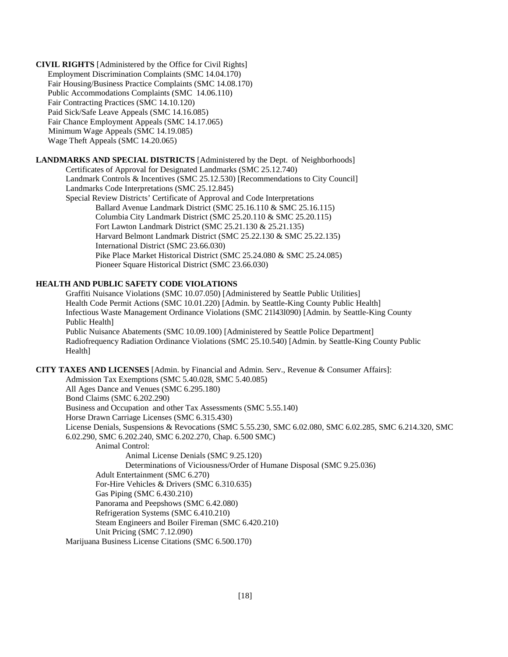**CIVIL RIGHTS** [Administered by the Office for Civil Rights] Employment Discrimination Complaints (SMC 14.04.170) Fair Housing/Business Practice Complaints (SMC 14.08.170) Public Accommodations Complaints (SMC 14.06.110) Fair Contracting Practices (SMC 14.10.120) Paid Sick/Safe Leave Appeals (SMC 14.16.085) Fair Chance Employment Appeals (SMC 14.17.065) Minimum Wage Appeals (SMC 14.19.085) Wage Theft Appeals (SMC 14.20.065)

#### **LANDMARKS AND SPECIAL DISTRICTS** [Administered by the Dept. of Neighborhoods]

Certificates of Approval for Designated Landmarks (SMC 25.12.740) Landmark Controls & Incentives (SMC 25.12.530) [Recommendations to City Council] Landmarks Code Interpretations (SMC 25.12.845) Special Review Districts' Certificate of Approval and Code Interpretations Ballard Avenue Landmark District (SMC 25.16.110 & SMC 25.16.115) Columbia City Landmark District (SMC 25.20.110 & SMC 25.20.115) Fort Lawton Landmark District (SMC 25.21.130 & 25.21.135) Harvard Belmont Landmark District (SMC 25.22.130 & SMC 25.22.135) International District (SMC 23.66.030) Pike Place Market Historical District (SMC 25.24.080 & SMC 25.24.085) Pioneer Square Historical District (SMC 23.66.030)

#### **HEALTH AND PUBLIC SAFETY CODE VIOLATIONS**

Graffiti Nuisance Violations (SMC 10.07.050) [Administered by Seattle Public Utilities] Health Code Permit Actions (SMC 10.01.220) [Admin. by Seattle-King County Public Health] Infectious Waste Management Ordinance Violations (SMC 21l43l090) [Admin. by Seattle-King County Public Health] Public Nuisance Abatements (SMC 10.09.100) [Administered by Seattle Police Department] Radiofrequency Radiation Ordinance Violations (SMC 25.10.540) [Admin. by Seattle-King County Public Health]

#### **CITY TAXES AND LICENSES** [Admin. by Financial and Admin. Serv., Revenue & Consumer Affairs]:

Admission Tax Exemptions (SMC 5.40.028, SMC 5.40.085) All Ages Dance and Venues (SMC 6.295.180) Bond Claims (SMC 6.202.290) Business and Occupation and other Tax Assessments (SMC 5.55.140) Horse Drawn Carriage Licenses (SMC 6.315.430) License Denials, Suspensions & Revocations (SMC 5.55.230, SMC 6.02.080, SMC 6.02.285, SMC 6.214.320, SMC 6.02.290, SMC 6.202.240, SMC 6.202.270, Chap. 6.500 SMC) Animal Control: Animal License Denials (SMC 9.25.120) Determinations of Viciousness/Order of Humane Disposal (SMC 9.25.036) Adult Entertainment (SMC 6.270) For-Hire Vehicles & Drivers (SMC 6.310.635) Gas Piping (SMC 6.430.210) Panorama and Peepshows (SMC 6.42.080) Refrigeration Systems (SMC 6.410.210) Steam Engineers and Boiler Fireman (SMC 6.420.210) Unit Pricing (SMC 7.12.090) Marijuana Business License Citations (SMC 6.500.170)